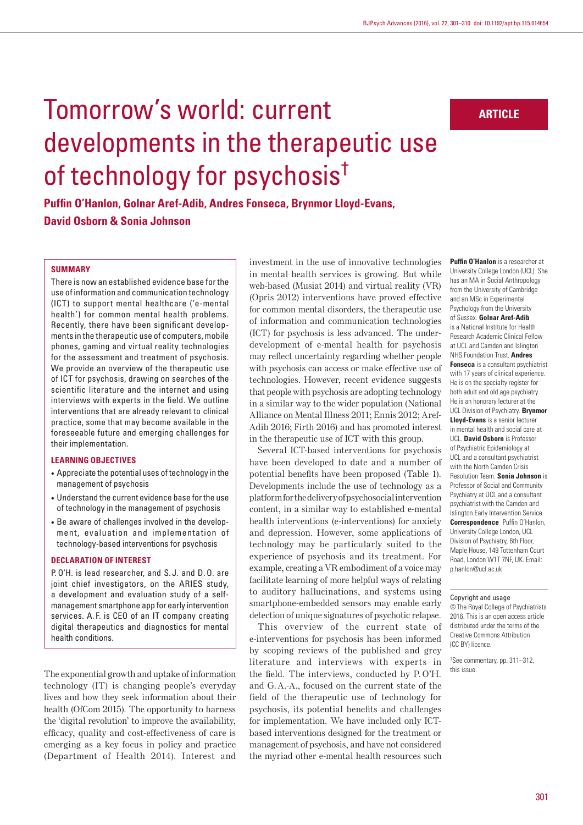# Tomorrow's world: current developments in the therapeutic use of technology for psychosis<sup>t</sup>

# **ARTICLE**

**Puffin O'Hanlon** is a researcher at

**Puffin O'Hanlon, Golnar Aref-Adib, Andres Fonseca, Brynmor Lloyd-Evans, David Osborn & Sonia Johnson**

#### **SUMMARY**

There is now an established evidence base for the use of information and communication technology (ICT) to support mental healthcare ('e-mental health') for common mental health problems. Recently, there have been significant developments in the therapeutic use of computers, mobile phones, gaming and virtual reality technologies for the assessment and treatment of psychosis. We provide an overview of the therapeutic use of ICT for psychosis, drawing on searches of the scientific literature and the internet and using interviews with experts in the field. We outline interventions that are already relevant to clinical practice, some that may become available in the foreseeable future and emerging challenges for their implementation.

#### **LEARNING OBJECTIVES**

- • Appreciate the potential uses of technology in the management of psychosis
- • Understand the current evidence base for the use of technology in the management of psychosis
- Be aware of challenges involved in the development, evaluation and implementation of technology-based interventions for psychosis

#### **DECLARATION OF INTEREST**

P. O'H. is lead researcher, and S. J. and D.O. are joint chief investigators, on the ARIES study, a development and evaluation study of a selfmanagement smartphone app for early intervention services. A. F. is CEO of an IT company creating digital therapeutics and diagnostics for mental health conditions.

The exponential growth and uptake of information technology (IT) is changing people's everyday lives and how they seek information about their health (OfCom 2015). The opportunity to harness the 'digital revolution' to improve the availability, efficacy, quality and cost-effectiveness of care is emerging as a key focus in policy and practice (Department of Health 2014). Interest and investment in the use of innovative technologies in mental health services is growing. But while web-based (Musiat 2014) and virtual reality (VR) (Opris 2012) interventions have proved effective for common mental disorders, the therapeutic use of information and communication technologies (ICT) for psychosis is less advanced. The underdevelopment of e-mental health for psychosis may reflect uncertainty regarding whether people with psychosis can access or make effective use of technologies. However, recent evidence suggests that people with psychosis are adopting technology in a similar way to the wider population (National Alliance on Mental Illness 2011; Ennis 2012; Aref-Adib 2016; Firth 2016) and has promoted interest in the therapeutic use of ICT with this group.

Several ICT-based interventions for psychosis have been developed to date and a number of potential benefits have been proposed (Table 1). Developments include the use of technology as a platform for the delivery of psychosocial intervention content, in a similar way to established e-mental health interventions (e-interventions) for anxiety and depression. However, some applications of technology may be particularly suited to the experience of psychosis and its treatment. For example, creating a VR embodiment of a voice may facilitate learning of more helpful ways of relating to auditory hallucinations, and systems using smartphone-embedded sensors may enable early detection of unique signatures of psychotic relapse.

This overview of the current state of e-interventions for psychosis has been informed by scoping reviews of the published and grey literature and interviews with experts in the field. The interviews, conducted by P. O'H. and G.A.-A., focused on the current state of the field of the therapeutic use of technology for psychosis, its potential benefits and challenges for implementation. We have included only ICTbased interventions designed for the treatment or management of psychosis, and have not considered the myriad other e-mental health resources such

University College London (UCL). She has an MA in Social Anthropology from the University of Cambridge and an MSc in Experimental Psychology from the University of Sussex. **Golnar Aref-Adib** is a National Institute for Health Research Academic Clinical Fellow at UCL and Camden and Islington NHS Foundation Trust. **Andres Fonseca** is a consultant psychiatrist with 17 years of clinical experience. He is on the specialty register for both adult and old age psychiatry. He is an honorary lecturer at the UCL Division of Psychiatry. **Brynmor Lloyd-Evans** is a senior lecturer in mental health and social care at UCL. **David Osborn** is Professor of Psychiatric Epidemiology at UCL and a consultant psychiatrist with the North Camden Crisis Resolution Team. **Sonia Johnson** is Professor of Social and Community Psychiatry at UCL and a consultant psychiatrist with the Camden and Islington Early Intervention Service. **Correspondence** Puffin O'Hanlon, University College London, UCL Division of Psychiatry, 6th Floor, Maple House, 149 Tottenham Court Road, London W1T 7NF, UK. Email: p.hanlon@ucl.ac.uk

#### Convright and usage

©The Royal College of Psychiatrists 2016. This is an open access article distributed under the terms of the Creative Commons Attribution (CC BY) licence.

† See commentary, pp. 311–312, this issue.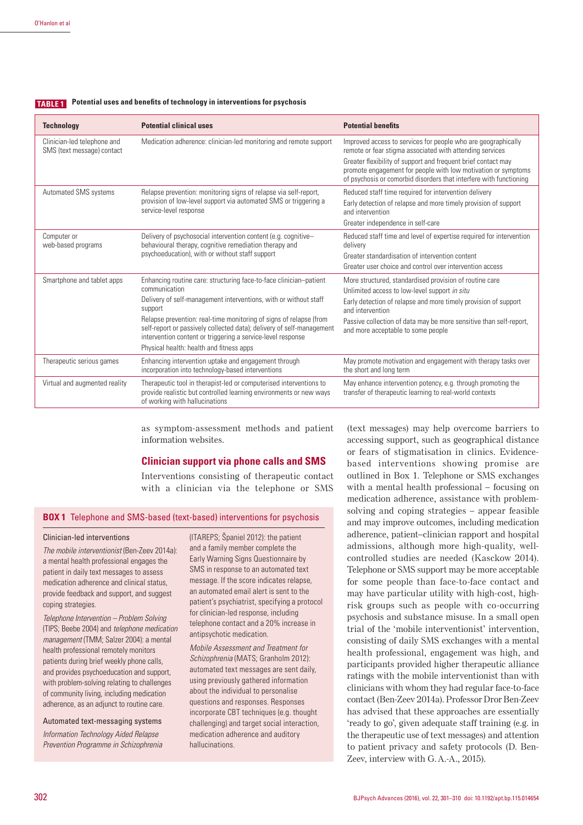| <b>Technology</b>                                         | <b>Potential clinical uses</b>                                                                                                                                                                                                                                                                                                                                                                                               | <b>Potential benefits</b>                                                                                                                                                                                                                                                                                                         |  |
|-----------------------------------------------------------|------------------------------------------------------------------------------------------------------------------------------------------------------------------------------------------------------------------------------------------------------------------------------------------------------------------------------------------------------------------------------------------------------------------------------|-----------------------------------------------------------------------------------------------------------------------------------------------------------------------------------------------------------------------------------------------------------------------------------------------------------------------------------|--|
| Clinician-led telephone and<br>SMS (text message) contact | Medication adherence: clinician-led monitoring and remote support                                                                                                                                                                                                                                                                                                                                                            | Improved access to services for people who are geographically<br>remote or fear stigma associated with attending services<br>Greater flexibility of support and frequent brief contact may<br>promote engagement for people with low motivation or symptoms<br>of psychosis or comorbid disorders that interfere with functioning |  |
| Automated SMS systems                                     | Relapse prevention: monitoring signs of relapse via self-report,<br>provision of low-level support via automated SMS or triggering a<br>service-level response                                                                                                                                                                                                                                                               | Reduced staff time required for intervention delivery<br>Early detection of relapse and more timely provision of support<br>and intervention<br>Greater independence in self-care                                                                                                                                                 |  |
| Computer or<br>web-based programs                         | Delivery of psychosocial intervention content (e.g. cognitive-<br>behavioural therapy, cognitive remediation therapy and<br>psychoeducation), with or without staff support                                                                                                                                                                                                                                                  | Reduced staff time and level of expertise required for intervention<br>delivery<br>Greater standardisation of intervention content<br>Greater user choice and control over intervention access                                                                                                                                    |  |
| Smartphone and tablet apps                                | Enhancing routine care: structuring face-to-face clinician-patient<br>communication<br>Delivery of self-management interventions, with or without staff<br>support<br>Relapse prevention: real-time monitoring of signs of relapse (from<br>self-report or passively collected data); delivery of self-management<br>intervention content or triggering a service-level response<br>Physical health: health and fitness apps | More structured, standardised provision of routine care<br>Unlimited access to low-level support in situ<br>Early detection of relapse and more timely provision of support<br>and intervention<br>Passive collection of data may be more sensitive than self-report,<br>and more acceptable to some people                       |  |
| Therapeutic serious games                                 | Enhancing intervention uptake and engagement through<br>incorporation into technology-based interventions                                                                                                                                                                                                                                                                                                                    | May promote motivation and engagement with therapy tasks over<br>the short and long term                                                                                                                                                                                                                                          |  |
| Virtual and augmented reality                             | Therapeutic tool in therapist-led or computerised interventions to<br>provide realistic but controlled learning environments or new ways<br>of working with hallucinations                                                                                                                                                                                                                                                   | May enhance intervention potency, e.g. through promoting the<br>transfer of therapeutic learning to real-world contexts                                                                                                                                                                                                           |  |

as symptom-assessment methods and patient information websites.

# **Clinician support via phone calls and SMS**

Interventions consisting of therapeutic contact with a clinician via the telephone or SMS

# **BOX 1** Telephone and SMS-based (text-based) interventions for psychosis

#### Clinician-led interventions

*The mobile interventionist* (Ben-Zeev 2014a): a mental health professional engages the patient in daily text messages to assess medication adherence and clinical status, provide feedback and support, and suggest coping strategies.

*Telephone Intervention – Problem Solving* (TIPS; Beebe 2004) and *telephone medication management* (TMM; Salzer 2004): a mental health professional remotely monitors patients during brief weekly phone calls, and provides psychoeducation and support, with problem-solving relating to challenges of community living, including medication adherence, as an adjunct to routine care.

Automated text-messaging systems *Information Technology Aided Relapse Prevention Programme in Schizophrenia* (ITAREPS; Španiel 2012): the patient and a family member complete the Early Warning Signs Questionnaire by SMS in response to an automated text message. If the score indicates relapse, an automated email alert is sent to the patient's psychiatrist, specifying a protocol for clinician-led response, including telephone contact and a 20% increase in antipsychotic medication.

*Mobile Assessment and Treatment for Schizophrenia* (MATS; Granholm 2012): automated text messages are sent daily, using previously gathered information about the individual to personalise questions and responses. Responses incorporate CBT techniques (e.g. thought challenging) and target social interaction, medication adherence and auditory hallucinations.

(text messages) may help overcome barriers to accessing support, such as geographical distance or fears of stigmatisation in clinics. Evidencebased interventions showing promise are outlined in Box 1. Telephone or SMS exchanges with a mental health professional – focusing on medication adherence, assistance with problemsolving and coping strategies – appear feasible and may improve outcomes, including medication adherence, patient–clinician rapport and hospital admissions, although more high-quality, wellcontrolled studies are needed (Kasckow 2014). Telephone or SMS support may be more acceptable for some people than face-to-face contact and may have particular utility with high-cost, highrisk groups such as people with co-occurring psychosis and substance misuse. In a small open trial of the 'mobile interventionist' intervention, consisting of daily SMS exchanges with a mental health professional, engagement was high, and participants provided higher therapeutic alliance ratings with the mobile interventionist than with clinicians with whom they had regular face-to-face contact (Ben-Zeev 2014a). Professor Dror Ben-Zeev has advised that these approaches are essentially 'ready to go', given adequate staff training (e.g. in the therapeutic use of text messages) and attention to patient privacy and safety protocols (D. Ben-Zeev, interview with G.A.-A., 2015).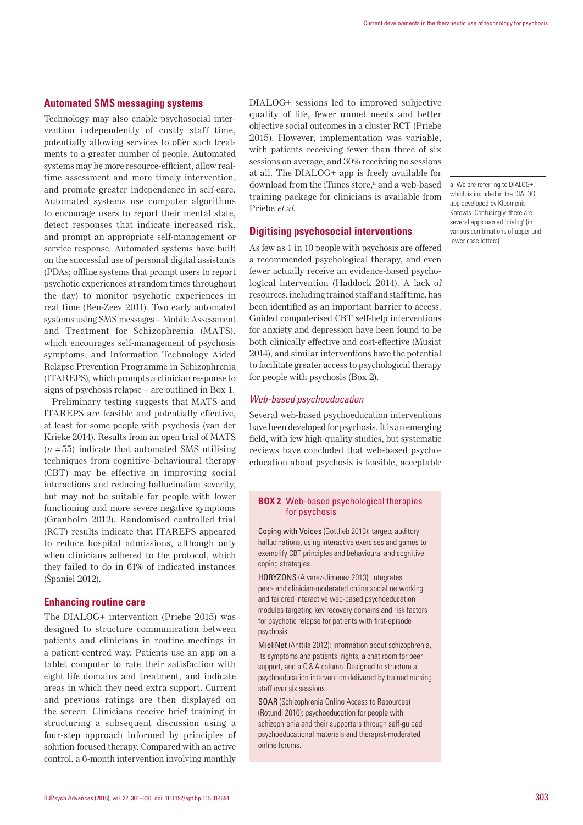# **Automated SMS messaging systems**

Technology may also enable psychosocial intervention independently of costly staff time, potentially allowing services to offer such treatments to a greater number of people. Automated systems may be more resource-efficient, allow realtime assessment and more timely intervention, and promote greater independence in self-care. Automated systems use computer algorithms to encourage users to report their mental state, detect responses that indicate increased risk, and prompt an appropriate self-management or service response. Automated systems have built on the successful use of personal digital assistants (PDAs; offline systems that prompt users to report psychotic experiences at random times throughout the day) to monitor psychotic experiences in real time (Ben-Zeev 2011). Two early automated systems using SMS messages – Mobile Assessment and Treatment for Schizophrenia (MATS), which encourages self-management of psychosis symptoms, and Information Technology Aided Relapse Prevention Programme in Schizophrenia (ITAREPS), which prompts a clinician response to signs of psychosis relapse – are outlined in Box 1.

Preliminary testing suggests that MATS and ITAREPS are feasible and potentially effective, at least for some people with psychosis (van der Krieke 2014). Results from an open trial of MATS  $(n = 55)$  indicate that automated SMS utilising techniques from cognitive–behavioural therapy (CBT) may be effective in improving social interactions and reducing hallucination severity, but may not be suitable for people with lower functioning and more severe negative symptoms (Granholm 2012). Randomised controlled trial (RCT) results indicate that ITAREPS appeared to reduce hospital admissions, although only when clinicians adhered to the protocol, which they failed to do in 61% of indicated instances (Španiel 2012).

#### **Enhancing routine care**

The DIALOG+ intervention (Priebe 2015) was designed to structure communication between patients and clinicians in routine meetings in a patient-centred way. Patients use an app on a tablet computer to rate their satisfaction with eight life domains and treatment, and indicate areas in which they need extra support. Current and previous ratings are then displayed on the screen. Clinicians receive brief training in structuring a subsequent discussion using a four-step approach informed by principles of solution-focused therapy. Compared with an active control, a 6-month intervention involving monthly

DIALOG+ sessions led to improved subjective quality of life, fewer unmet needs and better objective social outcomes in a cluster RCT (Priebe 2015). However, implementation was variable, with patients receiving fewer than three of six sessions on average, and 30% receiving no sessions at all. The DIALOG+ app is freely available for download from the iTunes store,<sup>a</sup> and a web-based training package for clinicians is available from Priebe et al.

# **Digitising psychosocial interventions**

As few as 1 in 10 people with psychosis are offered a recommended psychological therapy, and even fewer actually receive an evidence-based psychological intervention (Haddock 2014). A lack of resources, including trained staff and staff time, has been identified as an important barrier to access. Guided computerised CBT self-help interventions for anxiety and depression have been found to be both clinically effective and cost-effective (Musiat 2014), and similar interventions have the potential to facilitate greater access to psychological therapy for people with psychosis (Box 2).

#### *Web-based psychoeducation*

Several web-based psychoeducation interventions have been developed for psychosis. It is an emerging field, with few high-quality studies, but systematic reviews have concluded that web-based psychoeducation about psychosis is feasible, acceptable

#### **BOX 2** Web-based psychological therapies for psychosis

Coping with Voices (Gottlieb 2013): targets auditory hallucinations, using interactive exercises and games to exemplify CBT principles and behavioural and cognitive coping strategies.

HORYZONS (Alvarez-Jimenez 2013): integrates peer- and clinician-moderated online social networking and tailored interactive web-based psychoeducation modules targeting key recovery domains and risk factors for psychotic relapse for patients with first-episode psychosis.

MieliNet (Anttila 2012): information about schizophrenia, its symptoms and patients' rights, a chat room for peer support, and a Q&A column. Designed to structure a psychoeducation intervention delivered by trained nursing staff over six sessions.

SOAR (Schizophrenia Online Access to Resources) (Rotundi 2010): psychoeducation for people with schizophrenia and their supporters through self-guided psychoeducational materials and therapist-moderated online forums.

which is included in the DIALOG app developed by Kleomenis Katevas. Confusingly, there are several apps named 'dialog' (in various combinations of upper and lower case letters).

a. We are referring to DIALOG+,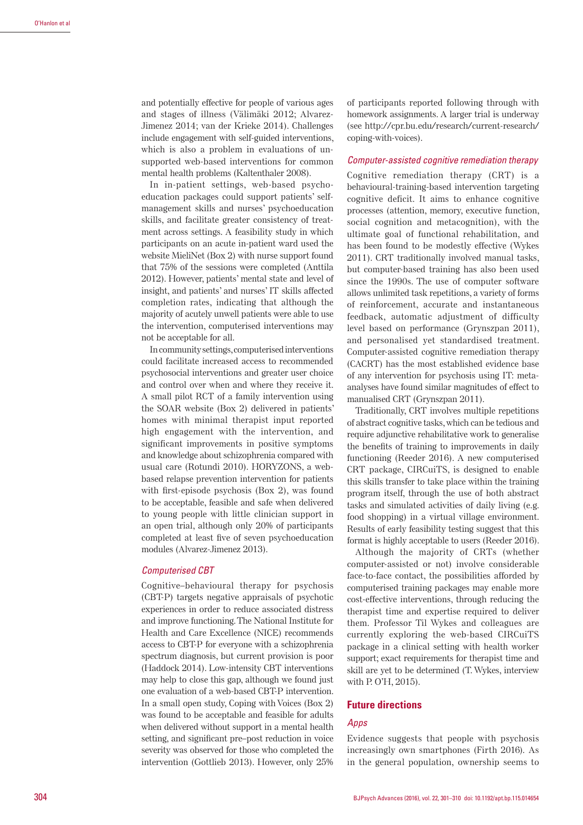and potentially effective for people of various ages and stages of illness (Välimäki 2012; Alvarez-Jimenez 2014; van der Krieke 2014). Challenges include engagement with self-guided interventions, which is also a problem in evaluations of un supported web-based interventions for common mental health problems (Kaltenthaler 2008).

In in-patient settings, web-based psycho education packages could support patients' selfmanagement skills and nurses' psychoeducation skills, and facilitate greater consistency of treat ment across settings. A feasibility study in which participants on an acute in-patient ward used the website MieliNet (Box 2) with nurse support found that 75% of the sessions were completed (Anttila 2012). However, patients' mental state and level of insight, and patients' and nurses' IT skills affected completion rates, indicating that although the majority of acutely unwell patients were able to use the intervention, computerised interventions may not be acceptable for all.

In community settings, computerised interventions could facilitate increased access to recommended psychosocial interventions and greater user choice and control over when and where they receive it. A small pilot RCT of a family intervention using the SOAR website (Box 2) delivered in patients' homes with minimal therapist input reported high engagement with the intervention, and significant improvements in positive symptoms and knowledge about schizophrenia compared with usual care (Rotundi 2010). HORYZONS, a webbased relapse prevention intervention for patients with first-episode psychosis (Box 2), was found to be acceptable, feasible and safe when delivered to young people with little clinician support in an open trial, although only 20% of participants completed at least five of seven psychoeducation modules (Alvarez-Jimenez 2013).

#### *Computerised CBT*

Cognitive–behavioural therapy for psychosis (CBT-P) targets negative appraisals of psychotic experiences in order to reduce associated distress and improve functioning. The National Institute for Health and Care Excellence (NICE) recommends access to CBT-P for everyone with a schizophrenia spectrum diagnosis, but current provision is poor (Haddock 2014). Low-intensity CBT interventions may help to close this gap, although we found just one evaluation of a web-based CBT-P intervention. In a small open study, Coping with Voices (Box 2) was found to be acceptable and feasible for adults when delivered without support in a mental health setting, and significant pre–post reduction in voice severity was observed for those who completed the intervention (Gottlieb 2013). However, only 25% of participants reported following through with homework assignments. A larger trial is underway (see http://cpr.bu.edu/research/current-research/ coping-with-voices).

#### *Computer-assisted cognitive remediation therapy*

Cognitive remediation therapy (CRT) is a behavioural-training-based intervention targeting cognitive deficit. It aims to enhance cognitive processes (attention, memory, executive function, social cognition and metacognition), with the ultimate goal of functional rehabilitation, and has been found to be modestly effective (Wykes 2011). CRT traditionally involved manual tasks, but computer-based training has also been used since the 1990s. The use of computer software allows unlimited task repetitions, a variety of forms of reinforcement, accurate and instantaneous feedback, automatic adjustment of difficulty level based on performance (Grynszpan 2011), and personalised yet standardised treatment. Computer-assisted cognitive remediation therapy (CACRT) has the most established evidence base of any intervention for psychosis using IT: metaanalyses have found similar magnitudes of effect to manualised CRT (Grynszpan 2011).

Traditionally, CRT involves multiple repetitions of abstract cognitive tasks, which can be tedious and require adjunctive rehabilitative work to generalise the benefits of training to improvements in daily functioning (Reeder 2016). A new computerised CRT package, CIRCuiTS, is designed to enable this skills transfer to take place within the training program itself, through the use of both abstract tasks and simulated activities of daily living (e.g. food shopping) in a virtual village environment. Results of early feasibility testing suggest that this format is highly acceptable to users (Reeder 2016).

Although the majority of CRTs (whether computer-assisted or not) involve considerable face-to-face contact, the possibilities afforded by computerised training packages may enable more cost-effective interventions, through reducing the therapist time and expertise required to deliver them. Professor Til Wykes and colleagues are currently exploring the web-based CIRCuiTS package in a clinical setting with health worker support; exact requirements for therapist time and skill are yet to be determined (T. Wykes, interview with P. O'H, 2015).

## **Future directions**

### *Apps*

Evidence suggests that people with psychosis increasingly own smartphones (Firth 2016). As in the general population, ownership seems to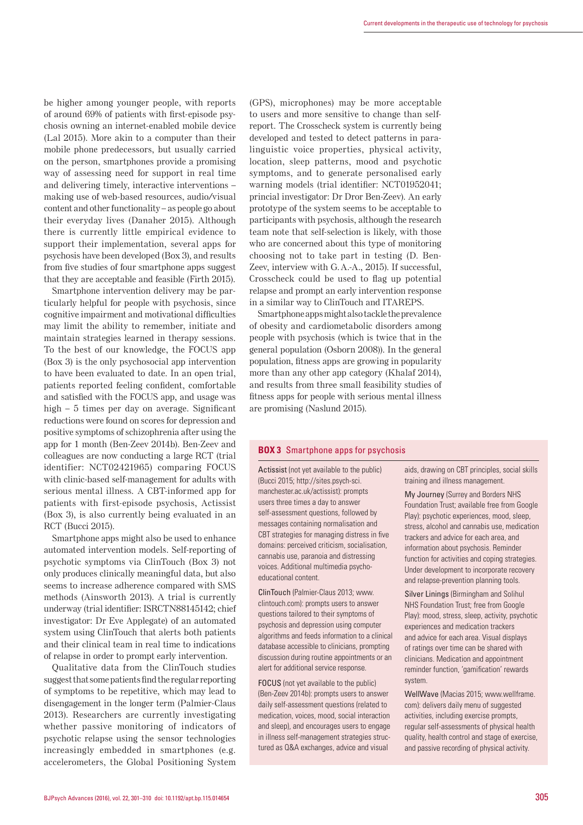be higher among younger people, with reports of around 69% of patients with first-episode psychosis owning an internet-enabled mobile device (Lal 2015). More akin to a computer than their mobile phone predecessors, but usually carried on the person, smartphones provide a promising way of assessing need for support in real time and delivering timely, interactive interventions – making use of web-based resources, audio/visual content and other functionality – as people go about their everyday lives (Danaher 2015). Although there is currently little empirical evidence to support their implementation, several apps for psychosis have been developed (Box 3), and results from five studies of four smartphone apps suggest that they are acceptable and feasible (Firth 2015).

Smartphone intervention delivery may be particularly helpful for people with psychosis, since cognitive impairment and motivational difficulties may limit the ability to remember, initiate and maintain strategies learned in therapy sessions. To the best of our knowledge, the FOCUS app (Box 3) is the only psychosocial app intervention to have been evaluated to date. In an open trial, patients reported feeling confident, comfortable and satisfied with the FOCUS app, and usage was high – 5 times per day on average. Significant reductions were found on scores for depression and positive symptoms of schizophrenia after using the app for 1 month (Ben-Zeev 2014b). Ben-Zeev and colleagues are now conducting a large RCT (trial identifier: NCT02421965) comparing FOCUS with clinic-based self-management for adults with serious mental illness. A CBT-informed app for patients with first-episode psychosis, Actissist (Box 3), is also currently being evaluated in an RCT (Bucci 2015).

Smartphone apps might also be used to enhance automated intervention models. Self-reporting of psychotic symptoms via ClinTouch (Box 3) not only produces clinically meaningful data, but also seems to increase adherence compared with SMS methods (Ainsworth 2013). A trial is currently underway (trial identifier: ISRCTN88145142; chief investigator: Dr Eve Applegate) of an automated system using ClinTouch that alerts both patients and their clinical team in real time to indications of relapse in order to prompt early intervention.

Qualitative data from the ClinTouch studies suggest that some patients find the regular reporting of symptoms to be repetitive, which may lead to disengagement in the longer term (Palmier-Claus 2013). Researchers are currently investigating whether passive monitoring of indicators of psychotic relapse using the sensor technologies increasingly embedded in smartphones (e.g. accelerometers, the Global Positioning System

(GPS), microphones) may be more acceptable to users and more sensitive to change than selfreport. The Crosscheck system is currently being developed and tested to detect patterns in paralinguistic voice properties, physical activity, location, sleep patterns, mood and psychotic symptoms, and to generate personalised early warning models (trial identifier: NCT01952041; princial investigator: Dr Dror Ben-Zeev). An early prototype of the system seems to be acceptable to participants with psychosis, although the research team note that self-selection is likely, with those who are concerned about this type of monitoring choosing not to take part in testing (D. Ben-Zeev, interview with G.A.-A., 2015). If successful, Crosscheck could be used to flag up potential relapse and prompt an early intervention response in a similar way to ClinTouch and ITAREPS.

Smartphone apps might also tackle the prevalence of obesity and cardiometabolic disorders among people with psychosis (which is twice that in the general population (Osborn 2008)). In the general population, fitness apps are growing in popularity more than any other app category (Khalaf 2014), and results from three small feasibility studies of fitness apps for people with serious mental illness are promising (Naslund 2015).

#### **BOX 3** Smartphone apps for psychosis

Actissist (not yet available to the public) (Bucci 2015; http://sites.psych-sci. manchester.ac.uk/actissist): prompts users three times a day to answer self-assessment questions, followed by messages containing normalisation and CBT strategies for managing distress in five domains: perceived criticism, socialisation, cannabis use, paranoia and distressing voices. Additional multimedia psychoeducational content.

ClinTouch (Palmier-Claus 2013; www. clintouch.com): prompts users to answer questions tailored to their symptoms of psychosis and depression using computer algorithms and feeds information to a clinical database accessible to clinicians, prompting discussion during routine appointments or an alert for additional service response.

FOCUS (not yet available to the public) (Ben-Zeev 2014b): prompts users to answer daily self-assessment questions (related to medication, voices, mood, social interaction and sleep), and encourages users to engage in illness self-management strategies structured as Q&A exchanges, advice and visual

aids, drawing on CBT principles, social skills training and illness management.

My Journey (Surrey and Borders NHS Foundation Trust; available free from Google Play): psychotic experiences, mood, sleep, stress, alcohol and cannabis use, medication trackers and advice for each area, and information about psychosis. Reminder function for activities and coping strategies. Under development to incorporate recovery and relapse-prevention planning tools.

Silver Linings (Birmingham and Solihul NHS Foundation Trust; free from Google Play): mood, stress, sleep, activity, psychotic experiences and medication trackers and advice for each area. Visual displays of ratings over time can be shared with clinicians. Medication and appointment reminder function, 'gamification' rewards system.

WellWave (Macias 2015; www.wellframe. com): delivers daily menu of suggested activities, including exercise prompts, regular self-assessments of physical health quality, health control and stage of exercise, and passive recording of physical activity.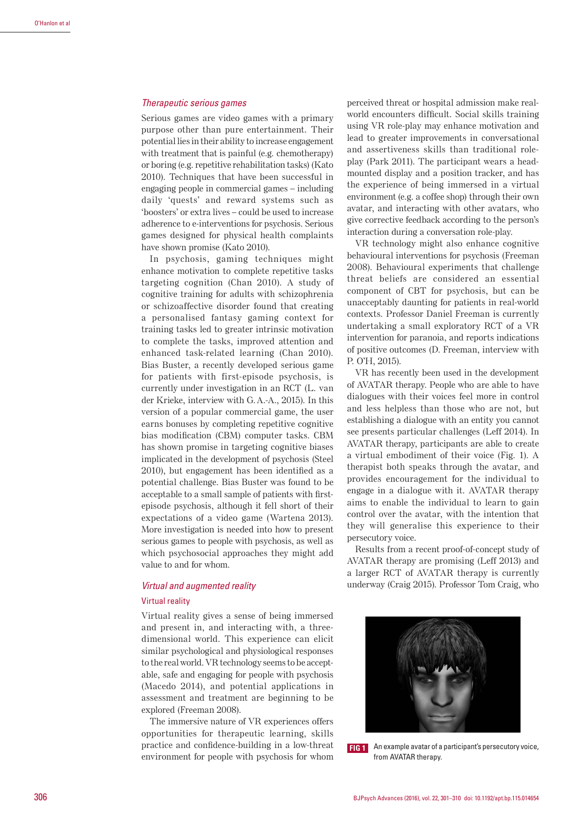#### *Therapeutic serious games*

Serious games are video games with a primary purpose other than pure entertainment. Their potential lies in their ability to increase engagement with treatment that is painful (e.g. chemotherapy) or boring (e.g. repetitive rehabilitation tasks) (Kato 2010). Techniques that have been successful in engaging people in commercial games – including daily 'quests' and reward systems such as 'boosters' or extra lives – could be used to increase adherence to e-interventions for psychosis. Serious games designed for physical health complaints have shown promise (Kato 2010).

In psychosis, gaming techniques might enhance motivation to complete repetitive tasks targeting cognition (Chan 2010). A study of cognitive training for adults with schizophrenia or schizoaffective disorder found that creating a personalised fantasy gaming context for training tasks led to greater intrinsic motivation to complete the tasks, improved attention and enhanced task-related learning (Chan 2010). Bias Buster, a recently developed serious game for patients with first-episode psychosis, is currently under investigation in an RCT (L. van der Krieke, interview with G.A.-A., 2015). In this version of a popular commercial game, the user earns bonuses by completing repetitive cognitive bias modification (CBM) computer tasks. CBM has shown promise in targeting cognitive biases implicated in the development of psychosis (Steel 2010), but engagement has been identified as a potential challenge. Bias Buster was found to be acceptable to a small sample of patients with firstepisode psychosis, although it fell short of their expectations of a video game (Wartena 2013). More investigation is needed into how to present serious games to people with psychosis, as well as which psychosocial approaches they might add value to and for whom.

# *Virtual and augmented reality*

Virtual reality

Virtual reality gives a sense of being immersed and present in, and interacting with, a threedimensional world. This experience can elicit similar psychological and physiological responses to the real world. VR technology seems to be acceptable, safe and engaging for people with psychosis (Macedo 2014), and potential applications in assessment and treatment are beginning to be explored (Freeman 2008).

The immersive nature of VR experiences offers opportunities for therapeutic learning, skills practice and confidence-building in a low-threat environment for people with psychosis for whom perceived threat or hospital admission make realworld encounters difficult. Social skills training using VR role-play may enhance motivation and lead to greater improvements in conversational and assertiveness skills than traditional roleplay (Park 2011). The participant wears a headmounted display and a position tracker, and has the experience of being immersed in a virtual environment (e.g. a coffee shop) through their own avatar, and interacting with other avatars, who give corrective feedback according to the person's interaction during a conversation role-play.

VR technology might also enhance cognitive behavioural interventions for psychosis (Freeman 2008). Behavioural experiments that challenge threat beliefs are considered an essential component of CBT for psychosis, but can be unacceptably daunting for patients in real-world contexts. Professor Daniel Freeman is currently undertaking a small exploratory RCT of a VR intervention for paranoia, and reports indications of positive outcomes (D. Freeman, interview with P. O'H, 2015).

VR has recently been used in the development of AVATAR therapy. People who are able to have dialogues with their voices feel more in control and less helpless than those who are not, but establishing a dialogue with an entity you cannot see presents particular challenges (Leff 2014). In AVATAR therapy, participants are able to create a virtual embodiment of their voice (Fig. 1). A therapist both speaks through the avatar, and provides encouragement for the individual to engage in a dialogue with it. AVATAR therapy aims to enable the individual to learn to gain control over the avatar, with the intention that they will generalise this experience to their persecutory voice.

Results from a recent proof-of-concept study of AVATAR therapy are promising (Leff 2013) and a larger RCT of AVATAR therapy is currently underway (Craig 2015). Professor Tom Craig, who



**FIG 1** An example avatar of a participant's persecutory voice, from AVATAR therapy.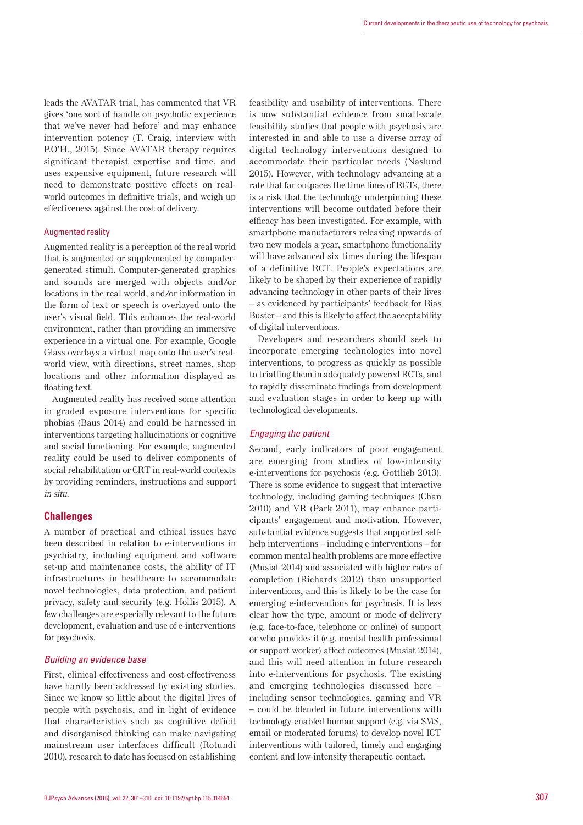leads the AVATAR trial, has commented that VR gives 'one sort of handle on psychotic experience that we've never had before' and may enhance intervention potency (T. Craig, interview with P.O'H., 2015). Since AVATAR therapy requires significant therapist expertise and time, and uses expensive equipment, future research will need to demonstrate positive effects on realworld outcomes in definitive trials, and weigh up effectiveness against the cost of delivery.

#### Augmented reality

Augmented reality is a perception of the real world that is augmented or supplemented by computergenerated stimuli. Computer-generated graphics and sounds are merged with objects and/or locations in the real world, and/or information in the form of text or speech is overlayed onto the user's visual field. This enhances the real-world environment, rather than providing an immersive experience in a virtual one. For example, Google Glass overlays a virtual map onto the user's realworld view, with directions, street names, shop locations and other information displayed as floating text.

Augmented reality has received some attention in graded exposure interventions for specific phobias (Baus 2014) and could be harnessed in interventions targeting hallucinations or cognitive and social functioning. For example, augmented reality could be used to deliver components of social rehabilitation or CRT in real-world contexts by providing reminders, instructions and support in situ.

#### **Challenges**

A number of practical and ethical issues have been described in relation to e-interventions in psychiatry, including equipment and software set-up and maintenance costs, the ability of IT infrastructures in healthcare to accommodate novel technologies, data protection, and patient privacy, safety and security (e.g. Hollis 2015). A few challenges are especially relevant to the future development, evaluation and use of e-interventions for psychosis.

#### *Building an evidence base*

First, clinical effectiveness and cost-effectiveness have hardly been addressed by existing studies. Since we know so little about the digital lives of people with psychosis, and in light of evidence that characteristics such as cognitive deficit and disorganised thinking can make navigating mainstream user interfaces difficult (Rotundi 2010), research to date has focused on establishing

feasibility and usability of interventions. There is now substantial evidence from small-scale feasibility studies that people with psychosis are interested in and able to use a diverse array of digital technology interventions designed to accommodate their particular needs (Naslund 2015). However, with technology advancing at a rate that far outpaces the time lines of RCTs, there is a risk that the technology underpinning these interventions will become outdated before their efficacy has been investigated. For example, with smartphone manufacturers releasing upwards of two new models a year, smartphone functionality will have advanced six times during the lifespan of a definitive RCT. People's expectations are likely to be shaped by their experience of rapidly advancing technology in other parts of their lives – as evidenced by participants' feedback for Bias Buster – and this is likely to affect the acceptability of digital interventions.

Developers and researchers should seek to incorporate emerging technologies into novel interventions, to progress as quickly as possible to trialling them in adequately powered RCTs, and to rapidly disseminate findings from development and evaluation stages in order to keep up with technological developments.

#### *Engaging the patient*

Second, early indicators of poor engagement are emerging from studies of low-intensity e-interventions for psychosis (e.g. Gottlieb 2013). There is some evidence to suggest that interactive technology, including gaming techniques (Chan 2010) and VR (Park 2011), may enhance participants' engagement and motivation. However, substantial evidence suggests that supported selfhelp interventions – including e-interventions – for common mental health problems are more effective (Musiat 2014) and associated with higher rates of completion (Richards 2012) than unsupported interventions, and this is likely to be the case for emerging e-interventions for psychosis. It is less clear how the type, amount or mode of delivery (e.g. face-to-face, telephone or online) of support or who provides it (e.g. mental health professional or support worker) affect outcomes (Musiat 2014), and this will need attention in future research into e-interventions for psychosis. The existing and emerging technologies discussed here – including sensor technologies, gaming and VR – could be blended in future interventions with technology-enabled human support (e.g. via SMS, email or moderated forums) to develop novel ICT interventions with tailored, timely and engaging content and low-intensity therapeutic contact.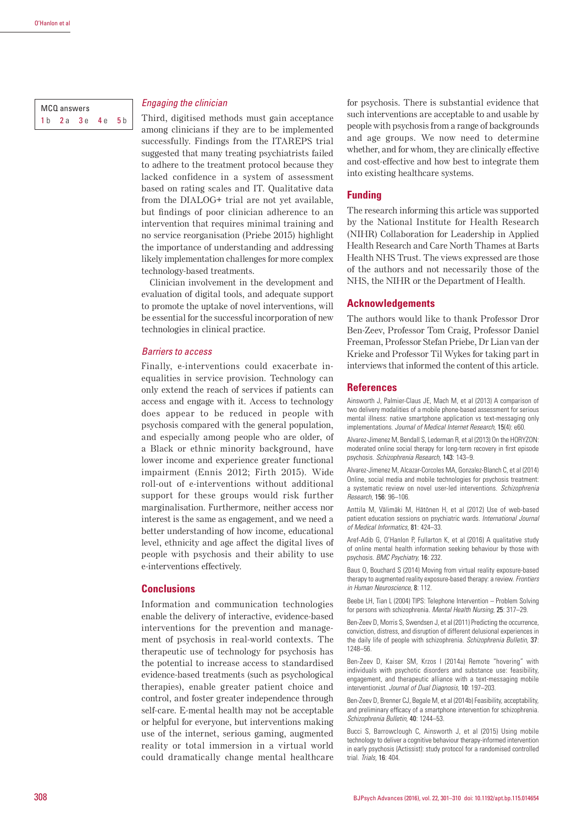| MCQ answers |  |             |  |  |  |  |
|-------------|--|-------------|--|--|--|--|
| 1 h         |  | 2a 3e 4e 5b |  |  |  |  |

#### *Engaging the clinician*

Third, digitised methods must gain acceptance among clinicians if they are to be implemented successfully. Findings from the ITAREPS trial suggested that many treating psychiatrists failed to adhere to the treatment protocol because they lacked confidence in a system of assessment based on rating scales and IT. Qualitative data from the DIALOG+ trial are not yet available, but findings of poor clinician adherence to an intervention that requires minimal training and no service reorganisation (Priebe 2015) highlight the importance of understanding and addressing likely implementation challenges for more complex technology-based treatments.

Clinician involvement in the development and evaluation of digital tools, and adequate support to promote the uptake of novel interventions, will be essential for the successful incorporation of new technologies in clinical practice.

#### *Barriers to access*

Finally, e-interventions could exacerbate inequalities in service provision. Technology can only extend the reach of services if patients can access and engage with it. Access to technology does appear to be reduced in people with psychosis compared with the general population, and especially among people who are older, of a Black or ethnic minority background, have lower income and experience greater functional impairment (Ennis 2012; Firth 2015). Wide roll-out of e-interventions without additional support for these groups would risk further marginalisation. Furthermore, neither access nor interest is the same as engagement, and we need a better understanding of how income, educational level, ethnicity and age affect the digital lives of people with psychosis and their ability to use e-interventions effectively.

#### **Conclusions**

Information and communication technologies enable the delivery of interactive, evidence-based interventions for the prevention and management of psychosis in real-world contexts. The therapeutic use of technology for psychosis has the potential to increase access to standardised evidence-based treatments (such as psychological therapies), enable greater patient choice and control, and foster greater independence through self-care. E-mental health may not be acceptable or helpful for everyone, but interventions making use of the internet, serious gaming, augmented reality or total immersion in a virtual world could dramatically change mental healthcare

for psychosis. There is substantial evidence that such interventions are acceptable to and usable by people with psychosis from a range of backgrounds and age groups. We now need to determine whether, and for whom, they are clinically effective and cost-effective and how best to integrate them into existing healthcare systems.

#### **Funding**

The research informing this article was supported by the National Institute for Health Research (NIHR) Collaboration for Leadership in Applied Health Research and Care North Thames at Barts Health NHS Trust. The views expressed are those of the authors and not necessarily those of the NHS, the NIHR or the Department of Health.

#### **Acknowledgements**

The authors would like to thank Professor Dror Ben-Zeev, Professor Tom Craig, Professor Daniel Freeman, Professor Stefan Priebe, Dr Lian van der Krieke and Professor Til Wykes for taking part in interviews that informed the content of this article.

#### **References**

Ainsworth J, Palmier-Claus JE, Mach M, et al (2013) A comparison of two delivery modalities of a mobile phone-based assessment for serious mental illness: native smartphone application vs text-messaging only implementations. *Journal of Medical Internet Research,* 15(4): e60.

Alvarez-Jimenez M, Bendall S, Lederman R, et al (2013) On the HORYZON: moderated online social therapy for long-term recovery in first episode psychosis. *Schizophrenia Research,* 143: 143–9.

Alvarez-Jimenez M, Alcazar-Corcoles MA, Gonzalez-Blanch C, et al (2014) Online, social media and mobile technologies for psychosis treatment: a systematic review on novel user-led interventions. *Schizophrenia Research,* 156: 96–106.

Anttila M, Välimäki M, Hätönen H, et al (2012) Use of web-based patient education sessions on psychiatric wards. *International Journal of Medical Informatics,* 81: 424–33.

Aref-Adib G, O'Hanlon P, Fullarton K, et al (2016) A qualitative study of online mental health information seeking behaviour by those with psychosis. *BMC Psychiatry,* 16: 232.

Baus O, Bouchard S (2014) Moving from virtual reality exposure-based therapy to augmented reality exposure-based therapy: a review. *Frontiers in Human Neuroscience,* 8: 112.

Beebe LH, Tian L (2004) TIPS: Telephone Intervention – Problem Solving for persons with schizophrenia. *Mental Health Nursing,* 25: 317–29.

Ben-Zeev D, Morris S, Swendsen J, et al (2011) Predicting the occurrence, conviction, distress, and disruption of different delusional experiences in the daily life of people with schizophrenia. *Schizophrenia Bulletin,* 37: 1248–56.

Ben-Zeev D, Kaiser SM, Krzos I (2014a) Remote "hovering" with individuals with psychotic disorders and substance use: feasibility, engagement, and therapeutic alliance with a text-messaging mobile interventionist. *Journal of Dual Diagnosis,* 10: 197–203.

Ben-Zeev D, Brenner CJ, Begale M, et al (2014b) Feasibility, acceptability, and preliminary efficacy of a smartphone intervention for schizophrenia. *Schizophrenia Bulletin,* 40: 1244–53.

Bucci S, Barrowclough C, Ainsworth J, et al (2015) Using mobile technology to deliver a cognitive behaviour therapy-informed intervention in early psychosis (Actissist): study protocol for a randomised controlled trial. *Trials,* 16: 404.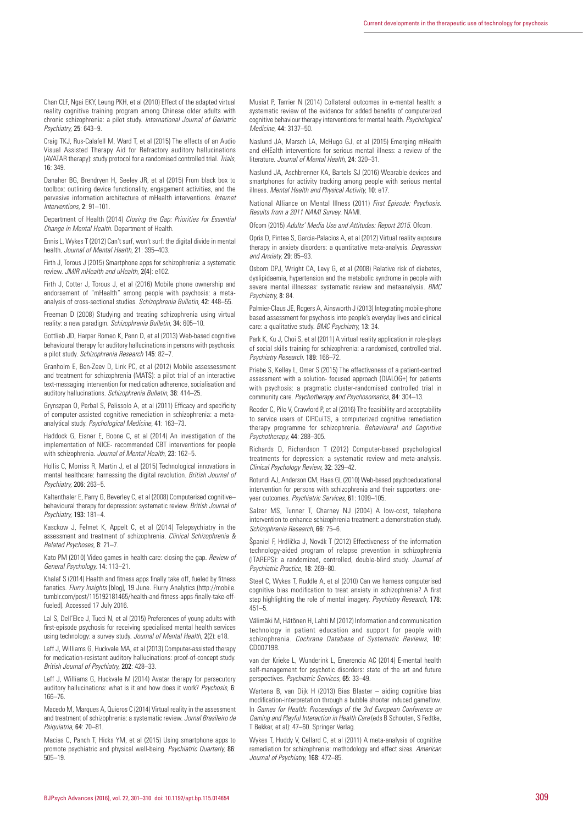Chan CLF, Ngai EKY, Leung PKH, et al (2010) Effect of the adapted virtual reality cognitive training program among Chinese older adults with chronic schizophrenia: a pilot study. *International Journal of Geriatric Psychiatry,* 25: 643–9.

Craig TKJ, Rus-Calafell M, Ward T, et al (2015) The effects of an Audio Visual Assisted Therapy Aid for Refractory auditory hallucinations (AVATAR therapy): study protocol for a randomised controlled trial. *Trials,*  16: 349.

Danaher BG, Brendryen H, Seeley JR, et al (2015) From black box to toolbox: outlining device functionality, engagement activities, and the pervasive information architecture of mHealth interventions. *Internet Interventions,*  2: 91–101.

Department of Health (2014) *Closing the Gap: Priorities for Essential Change in Mental Health*. Department of Health.

Ennis L, Wykes T (2012) Can't surf, won't surf: the digital divide in mental health. *Journal of Mental Health,* 21: 395–403.

Firth J, Torous J (2015) Smartphone apps for schizophrenia: a systematic review. *JMIR mHealth and uHealth,* 2(4): e102.

Firth J, Cotter J, Torous J, et al (2016) Mobile phone ownership and endorsement of "mHealth" among people with psychosis: a metaanalysis of cross-sectional studies. *Schizophrenia Bulletin,* 42: 448–55.

Freeman D (2008) Studying and treating schizophrenia using virtual reality: a new paradigm. *Schizophrenia Bulletin,* 34: 605–10.

Gottlieb JD, Harper Romeo K, Penn D, et al (2013) Web-based cognitive behavioural therapy for auditory hallucinations in persons with psychosis: a pilot study. *Schizophrenia Research* 145: 82–7.

Granholm E, Ben-Zeev D, Link PC, et al (2012) Mobile assessessment and treatment for schizophrenia (MATS): a pilot trial of an interactive text-messaging intervention for medication adherence, socialisation and auditory hallucinations. *Schizophrenia Bulletin,* 38: 414–25.

Grynszpan O, Perbal S, Pelissolo A, et al (2011) Efficacy and specificity of computer-assisted cognitive remediation in schizophrenia: a metaanalytical study. *Psychological Medicine,* 41: 163–73.

Haddock G, Eisner E, Boone C, et al (2014) An investigation of the implementation of NICE- recommended CBT interventions for people with schizophrenia. *Journal of Mental Health,* 23: 162–5.

Hollis C, Morriss R, Martin J, et al (2015) Technological innovations in mental healthcare: harnessing the digital revolution. *British Journal of Psychiatry,* 206: 263–5.

Kaltenthaler E, Parry G, Beverley C, et al (2008) Computerised cognitive– behavioural therapy for depression: systematic review. *British Journal of Psychiatry,* 193: 181–4.

Kasckow J, Felmet K, Appelt C, et al (2014) Telepsychiatry in the assessment and treatment of schizophrenia. *Clinical Schizophrenia & Related Psychoses,*  8: 21–7.

Kato PM (2010) Video games in health care: closing the gap. *Review of General Psychology,* 14: 113–21.

Khalaf S (2014) Health and fitness apps finally take off, fueled by fitness fanatics. *Flurry Insights* [blog], 19 June. Flurry Analytics (http://mobile. tumblr.com/post/115192181465/health-and-fitness-apps-finally-take-offfueled). Accessed 17 July 2016.

Lal S, Dell'Elce J, Tucci N, et al (2015) Preferences of young adults with first-episode psychosis for receiving specialised mental health services using technology: a survey study. *Journal of Mental Health,*  2(2): e18.

Leff J, Williams G, Huckvale MA, et al (2013) Computer-assisted therapy for medication-resistant auditory hallucinations: proof-of-concept study. *British Journal of Psychiatry,* 202: 428–33.

Leff J, Williams G, Huckvale M (2014) Avatar therapy for persecutory auditory hallucinations: what is it and how does it work? *Psychosis,*  6: 166–76.

Macedo M, Marques A, Quieros C (2014) Virtual reality in the assessment and treatment of schizophrenia: a systematic review. *Jornal Brasileiro de Psiquiatria,* 64: 70–81.

Macias C, Panch T, Hicks YM, et al (2015) Using smartphone apps to promote psychiatric and physical well-being. *Psychiatric Quarterly,* 86: 505–19.

Musiat P, Tarrier N (2014) Collateral outcomes in e-mental health: a systematic review of the evidence for added benefits of computerized cognitive behaviour therapy interventions for mental health. *Psychological Medicine,* 44: 3137–50.

Naslund JA, Marsch LA, McHugo GJ, et al (2015) Emerging mHealth and eHEalth interventions for serious mental illness: a review of the literature. *Journal of Mental Health,* 24: 320–31.

Naslund JA, Aschbrenner KA, Bartels SJ (2016) Wearable devices and smartphones for activity tracking among people with serious mental illness. *Mental Health and Physical Activity,* 10: e17.

National Alliance on Mental Illness (2011) *First Episode: Psychosis. Results from a 2011 NAMI Survey*. NAMI.

Ofcom (2015) *Adults' Media Use and Attitudes: Report 2015*. Ofcom.

Opris D, Pintea S, Garcia-Palacios A, et al (2012) Virtual reality exposure therapy in anxiety disorders: a quantitative meta-analysis. *Depression and Anxiety,* 29: 85–93.

Osborn DPJ, Wright CA, Levy G, et al (2008) Relative risk of diabetes, dyslipidaemia, hypertension and the metabolic syndrome in people with severe mental illnesses: systematic review and metaanalysis. *BMC Psychiatry,*  8: 84.

Palmier-Claus JE, Rogers A, Ainsworth J (2013) Integrating mobile-phone based assessment for psychosis into people's everyday lives and clinical care: a qualitative study. *BMC Psychiatry,* 13: 34.

Park K, Ku J, Choi S, et al (2011) A virtual reality application in role-plays of social skills training for schizophrenia: a randomised, controlled trial. *Psychiatry Research,* 189: 166–72.

Priebe S, Kelley L, Omer S (2015) The effectiveness of a patient-centred assessment with a solution- focused approach (DIALOG+) for patients with psychosis: a pragmatic cluster-randomised controlled trial in community care. *Psychotherapy and Psychosomatics,* 84: 304–13.

Reeder C, Pile V, Crawford P, et al (2016) The feasibility and acceptability to service users of CIRCuiTS, a computerized cognitive remediation therapy programme for schizophrenia. *Behavioural and Cognitive Psychotherapy,* 44: 288–305.

Richards D, Richardson T (2012) Computer-based psychological treatments for depression: a systematic review and meta-analysis. *Clinical Psychology Review,* 32: 329–42.

Rotundi AJ, Anderson CM, Haas GL (2010) Web-based psychoeducational intervention for persons with schizophrenia and their supporters: oneyear outcomes. *Psychiatric Services,* 61: 1099–105.

Salzer MS, Tunner T, Charney NJ (2004) A low-cost, telephone intervention to enhance schizophrenia treatment: a demonstration study. *Schizophrenia Research,* 66: 75–6.

Španiel F, Hrdlička J, Novák T (2012) Effectiveness of the information technology-aided program of relapse prevention in schizophrenia (ITAREPS): a randomized, controlled, double-blind study. *Journal of Psychiatric Practice,* 18: 269–80.

Steel C, Wykes T, Ruddle A, et al (2010) Can we harness computerised cognitive bias modification to treat anxiety in schizophrenia? A first step highlighting the role of mental imagery. *Psychiatry Research,* 178: 451–5.

Välimäki M, Hätönen H, Lahti M (2012) Information and communication technology in patient education and support for people with schizophrenia. *Cochrane Database of Systematic Reviews,* 10: CD007198.

van der Krieke L, Wunderink L, Emerencia AC (2014) E-mental health self-management for psychotic disorders: state of the art and future perspectives. *Psychiatric Services,* 65: 33–49.

Wartena B, van Dijk H (2013) Bias Blaster – aiding cognitive bias modification-interpretation through a bubble shooter induced gameflow. In *Games for Health: Proceedings of the 3rd European Conference on Gaming and Playful Interaction in Health Care* (eds B Schouten, S Fedtke, T Bekker, et al): 47–60. Springer Verlag.

Wykes T, Huddy V, Cellard C, et al (2011) A meta-analysis of cognitive remediation for schizophrenia: methodology and effect sizes. *American Journal of Psychiatry,* 168: 472–85.